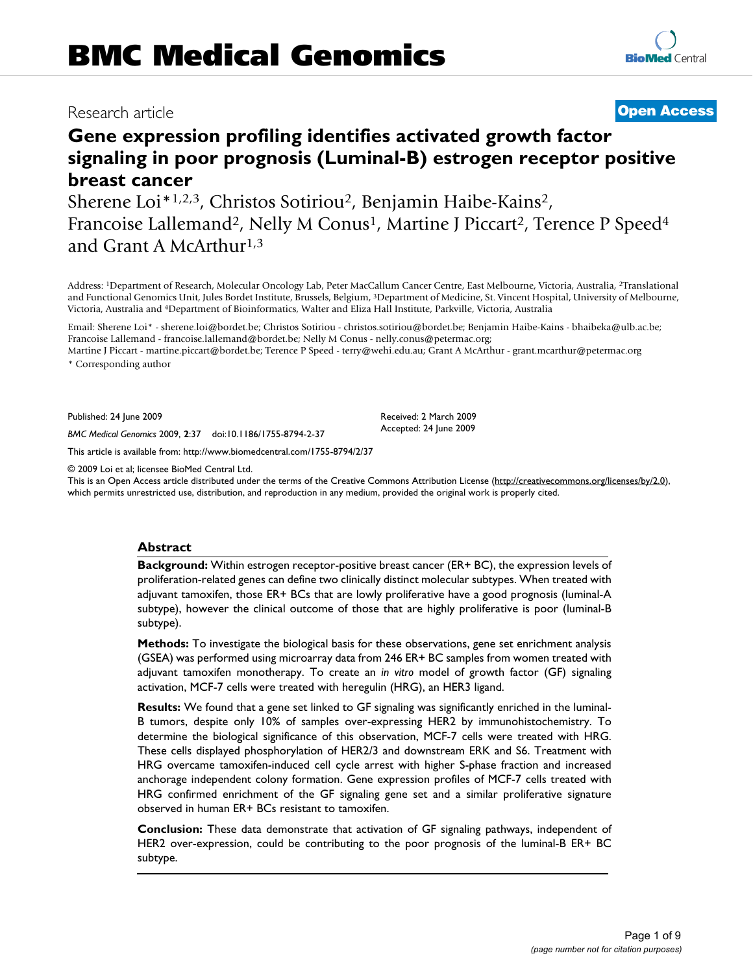# Research article **[Open Access](http://www.biomedcentral.com/info/about/charter/)**

# **Gene expression profiling identifies activated growth factor signaling in poor prognosis (Luminal-B) estrogen receptor positive breast cancer**

Sherene Loi\*1,2,3, Christos Sotiriou2, Benjamin Haibe-Kains2, Francoise Lallemand<sup>2</sup>, Nelly M Conus<sup>1</sup>, Martine J Piccart<sup>2</sup>, Terence P Speed<sup>4</sup> and Grant A McArthur<sup>1,3</sup>

Address: 1Department of Research, Molecular Oncology Lab, Peter MacCallum Cancer Centre, East Melbourne, Victoria, Australia, 2Translational and Functional Genomics Unit, Jules Bordet Institute, Brussels, Belgium, 3Department of Medicine, St. Vincent Hospital, University of Melbourne, Victoria, Australia and 4Department of Bioinformatics, Walter and Eliza Hall Institute, Parkville, Victoria, Australia

Email: Sherene Loi\* - sherene.loi@bordet.be; Christos Sotiriou - christos.sotiriou@bordet.be; Benjamin Haibe-Kains - bhaibeka@ulb.ac.be; Francoise Lallemand - francoise.lallemand@bordet.be; Nelly M Conus - nelly.conus@petermac.org;

Martine J Piccart - martine.piccart@bordet.be; Terence P Speed - terry@wehi.edu.au; Grant A McArthur - grant.mcarthur@petermac.org \* Corresponding author

Published: 24 June 2009

*BMC Medical Genomics* 2009, **2**:37 doi:10.1186/1755-8794-2-37

[This article is available from: http://www.biomedcentral.com/1755-8794/2/37](http://www.biomedcentral.com/1755-8794/2/37)

© 2009 Loi et al; licensee BioMed Central Ltd.

This is an Open Access article distributed under the terms of the Creative Commons Attribution License [\(http://creativecommons.org/licenses/by/2.0\)](http://creativecommons.org/licenses/by/2.0), which permits unrestricted use, distribution, and reproduction in any medium, provided the original work is properly cited.

Received: 2 March 2009 Accepted: 24 June 2009

#### **Abstract**

**Background:** Within estrogen receptor-positive breast cancer (ER+ BC), the expression levels of proliferation-related genes can define two clinically distinct molecular subtypes. When treated with adjuvant tamoxifen, those ER+ BCs that are lowly proliferative have a good prognosis (luminal-A subtype), however the clinical outcome of those that are highly proliferative is poor (luminal-B subtype).

**Methods:** To investigate the biological basis for these observations, gene set enrichment analysis (GSEA) was performed using microarray data from 246 ER+ BC samples from women treated with adjuvant tamoxifen monotherapy. To create an *in vitro* model of growth factor (GF) signaling activation, MCF-7 cells were treated with heregulin (HRG), an HER3 ligand.

**Results:** We found that a gene set linked to GF signaling was significantly enriched in the luminal-B tumors, despite only 10% of samples over-expressing HER2 by immunohistochemistry. To determine the biological significance of this observation, MCF-7 cells were treated with HRG. These cells displayed phosphorylation of HER2/3 and downstream ERK and S6. Treatment with HRG overcame tamoxifen-induced cell cycle arrest with higher S-phase fraction and increased anchorage independent colony formation. Gene expression profiles of MCF-7 cells treated with HRG confirmed enrichment of the GF signaling gene set and a similar proliferative signature observed in human ER+ BCs resistant to tamoxifen.

**Conclusion:** These data demonstrate that activation of GF signaling pathways, independent of HER2 over-expression, could be contributing to the poor prognosis of the luminal-B ER+ BC subtype.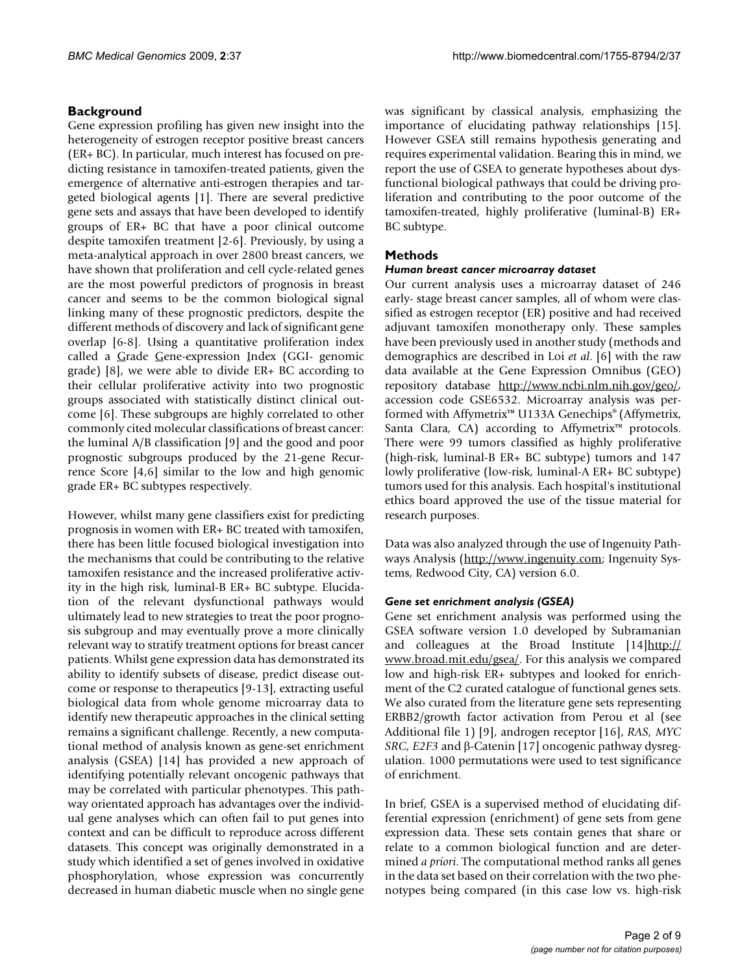#### **Background**

Gene expression profiling has given new insight into the heterogeneity of estrogen receptor positive breast cancers (ER+ BC). In particular, much interest has focused on predicting resistance in tamoxifen-treated patients, given the emergence of alternative anti-estrogen therapies and targeted biological agents [1]. There are several predictive gene sets and assays that have been developed to identify groups of ER+ BC that have a poor clinical outcome despite tamoxifen treatment [2-6]. Previously, by using a meta-analytical approach in over 2800 breast cancers, we have shown that proliferation and cell cycle-related genes are the most powerful predictors of prognosis in breast cancer and seems to be the common biological signal linking many of these prognostic predictors, despite the different methods of discovery and lack of significant gene overlap [6-8]. Using a quantitative proliferation index called a Grade Gene-expression Index (GGI- genomic grade) [8], we were able to divide ER+ BC according to their cellular proliferative activity into two prognostic groups associated with statistically distinct clinical outcome [6]. These subgroups are highly correlated to other commonly cited molecular classifications of breast cancer: the luminal A/B classification [9] and the good and poor prognostic subgroups produced by the 21-gene Recurrence Score [4,6] similar to the low and high genomic grade ER+ BC subtypes respectively.

However, whilst many gene classifiers exist for predicting prognosis in women with ER+ BC treated with tamoxifen, there has been little focused biological investigation into the mechanisms that could be contributing to the relative tamoxifen resistance and the increased proliferative activity in the high risk, luminal-B ER+ BC subtype. Elucidation of the relevant dysfunctional pathways would ultimately lead to new strategies to treat the poor prognosis subgroup and may eventually prove a more clinically relevant way to stratify treatment options for breast cancer patients. Whilst gene expression data has demonstrated its ability to identify subsets of disease, predict disease outcome or response to therapeutics [9-13], extracting useful biological data from whole genome microarray data to identify new therapeutic approaches in the clinical setting remains a significant challenge. Recently, a new computational method of analysis known as gene-set enrichment analysis (GSEA) [14] has provided a new approach of identifying potentially relevant oncogenic pathways that may be correlated with particular phenotypes. This pathway orientated approach has advantages over the individual gene analyses which can often fail to put genes into context and can be difficult to reproduce across different datasets. This concept was originally demonstrated in a study which identified a set of genes involved in oxidative phosphorylation, whose expression was concurrently decreased in human diabetic muscle when no single gene was significant by classical analysis, emphasizing the importance of elucidating pathway relationships [15]. However GSEA still remains hypothesis generating and requires experimental validation. Bearing this in mind, we report the use of GSEA to generate hypotheses about dysfunctional biological pathways that could be driving proliferation and contributing to the poor outcome of the tamoxifen-treated, highly proliferative (luminal-B) ER+ BC subtype.

#### **Methods**

#### *Human breast cancer microarray dataset*

Our current analysis uses a microarray dataset of 246 early- stage breast cancer samples, all of whom were classified as estrogen receptor (ER) positive and had received adjuvant tamoxifen monotherapy only. These samples have been previously used in another study (methods and demographics are described in Loi *et al*. [6] with the raw data available at the Gene Expression Omnibus (GEO) repository database [http://www.ncbi.nlm.nih.gov/geo/,](http://www.ncbi.nlm.nih.gov/geo/) accession code GSE6532. Microarray analysis was performed with Affymetrix™ U133A Genechips® (Affymetrix, Santa Clara, CA) according to Affymetrix<sup>™</sup> protocols. There were 99 tumors classified as highly proliferative (high-risk, luminal-B ER+ BC subtype) tumors and 147 lowly proliferative (low-risk, luminal-A ER+ BC subtype) tumors used for this analysis. Each hospital's institutional ethics board approved the use of the tissue material for research purposes.

Data was also analyzed through the use of Ingenuity Pathways Analysis [\(http://www.ingenuity.com;](http://www.ingenuity.com) Ingenuity Systems, Redwood City, CA) version 6.0.

#### *Gene set enrichment analysis (GSEA)*

Gene set enrichment analysis was performed using the GSEA software version 1.0 developed by Subramanian and colleagues at the Broad Institute [14][http://](http://www.broad.mit.edu/gsea/) [www.broad.mit.edu/gsea/](http://www.broad.mit.edu/gsea/). For this analysis we compared low and high-risk ER+ subtypes and looked for enrichment of the C2 curated catalogue of functional genes sets. We also curated from the literature gene sets representing ERBB2/growth factor activation from Perou et al (see Additional file 1) [9], androgen receptor [16], *RAS, MYC SRC, E2F3* and β-Catenin [17] oncogenic pathway dysregulation. 1000 permutations were used to test significance of enrichment.

In brief, GSEA is a supervised method of elucidating differential expression (enrichment) of gene sets from gene expression data. These sets contain genes that share or relate to a common biological function and are determined *a priori*. The computational method ranks all genes in the data set based on their correlation with the two phenotypes being compared (in this case low vs. high-risk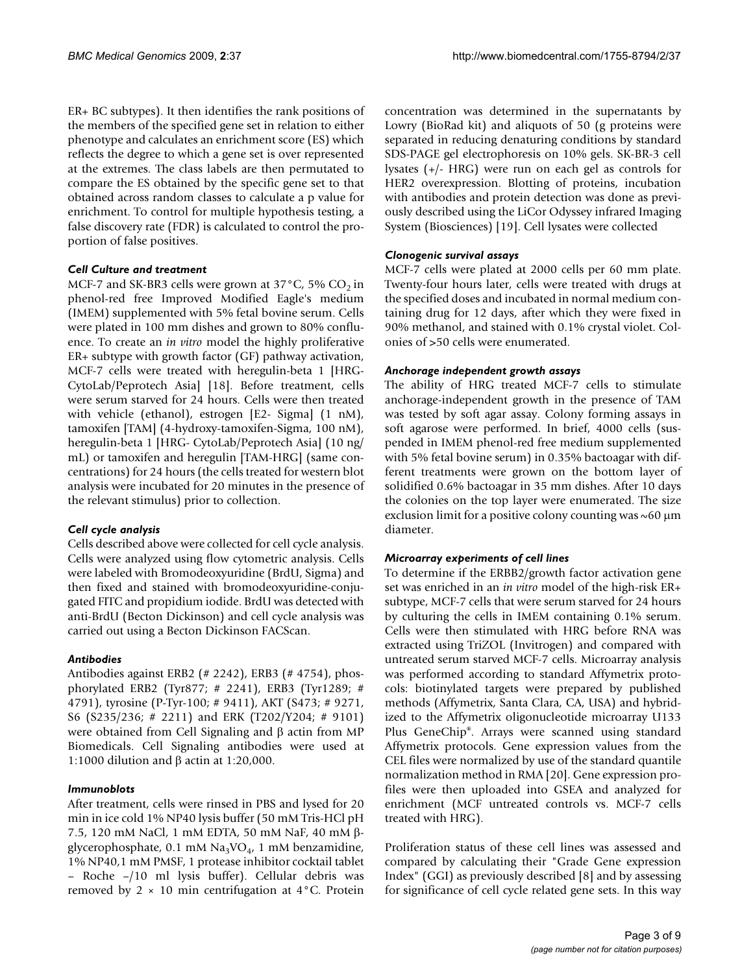ER+ BC subtypes). It then identifies the rank positions of the members of the specified gene set in relation to either phenotype and calculates an enrichment score (ES) which reflects the degree to which a gene set is over represented at the extremes. The class labels are then permutated to compare the ES obtained by the specific gene set to that obtained across random classes to calculate a p value for enrichment. To control for multiple hypothesis testing, a false discovery rate (FDR) is calculated to control the proportion of false positives.

#### *Cell Culture and treatment*

MCF-7 and SK-BR3 cells were grown at  $37^{\circ}$ C, 5% CO<sub>2</sub> in phenol-red free Improved Modified Eagle's medium (IMEM) supplemented with 5% fetal bovine serum. Cells were plated in 100 mm dishes and grown to 80% confluence. To create an *in vitro* model the highly proliferative ER+ subtype with growth factor (GF) pathway activation, MCF-7 cells were treated with heregulin-beta 1 [HRG-CytoLab/Peprotech Asia] [18]. Before treatment, cells were serum starved for 24 hours. Cells were then treated with vehicle (ethanol), estrogen [E2- Sigma] (1 nM), tamoxifen [TAM] (4-hydroxy-tamoxifen-Sigma, 100 nM), heregulin-beta 1 [HRG- CytoLab/Peprotech Asia] (10 ng/ mL) or tamoxifen and heregulin [TAM-HRG] (same concentrations) for 24 hours (the cells treated for western blot analysis were incubated for 20 minutes in the presence of the relevant stimulus) prior to collection.

#### *Cell cycle analysis*

Cells described above were collected for cell cycle analysis. Cells were analyzed using flow cytometric analysis. Cells were labeled with Bromodeoxyuridine (BrdU, Sigma) and then fixed and stained with bromodeoxyuridine-conjugated FITC and propidium iodide. BrdU was detected with anti-BrdU (Becton Dickinson) and cell cycle analysis was carried out using a Becton Dickinson FACScan.

#### *Antibodies*

Antibodies against ERB2 (# 2242), ERB3 (# 4754), phosphorylated ERB2 (Tyr877; # 2241), ERB3 (Tyr1289; # 4791), tyrosine (P-Tyr-100; # 9411), AKT (S473; # 9271, S6 (S235/236; # 2211) and ERK (T202/Y204; # 9101) were obtained from Cell Signaling and β actin from MP Biomedicals. Cell Signaling antibodies were used at 1:1000 dilution and β actin at 1:20,000.

#### *Immunoblots*

After treatment, cells were rinsed in PBS and lysed for 20 min in ice cold 1% NP40 lysis buffer (50 mM Tris-HCl pH 7.5, 120 mM NaCl, 1 mM EDTA, 50 mM NaF, 40 mM βglycerophosphate, 0.1 mM  $\text{Na}_3\text{VO}_4$ , 1 mM benzamidine, 1% NP40,1 mM PMSF, 1 protease inhibitor cocktail tablet – Roche –/10 ml lysis buffer). Cellular debris was removed by  $2 \times 10$  min centrifugation at  $4^{\circ}$ C. Protein

concentration was determined in the supernatants by Lowry (BioRad kit) and aliquots of 50 (g proteins were separated in reducing denaturing conditions by standard SDS-PAGE gel electrophoresis on 10% gels. SK-BR-3 cell lysates (+/- HRG) were run on each gel as controls for HER2 overexpression. Blotting of proteins, incubation with antibodies and protein detection was done as previously described using the LiCor Odyssey infrared Imaging System (Biosciences) [19]. Cell lysates were collected

#### *Clonogenic survival assays*

MCF-7 cells were plated at 2000 cells per 60 mm plate. Twenty-four hours later, cells were treated with drugs at the specified doses and incubated in normal medium containing drug for 12 days, after which they were fixed in 90% methanol, and stained with 0.1% crystal violet. Colonies of >50 cells were enumerated.

#### *Anchorage independent growth assays*

The ability of HRG treated MCF-7 cells to stimulate anchorage-independent growth in the presence of TAM was tested by soft agar assay. Colony forming assays in soft agarose were performed. In brief, 4000 cells (suspended in IMEM phenol-red free medium supplemented with 5% fetal bovine serum) in 0.35% bactoagar with different treatments were grown on the bottom layer of solidified 0.6% bactoagar in 35 mm dishes. After 10 days the colonies on the top layer were enumerated. The size exclusion limit for a positive colony counting was  $\sim 60 \mu m$ diameter.

#### *Microarray experiments of cell lines*

To determine if the ERBB2/growth factor activation gene set was enriched in an *in vitro* model of the high-risk ER+ subtype, MCF-7 cells that were serum starved for 24 hours by culturing the cells in IMEM containing 0.1% serum. Cells were then stimulated with HRG before RNA was extracted using TriZOL (Invitrogen) and compared with untreated serum starved MCF-7 cells. Microarray analysis was performed according to standard Affymetrix protocols: biotinylated targets were prepared by published methods (Affymetrix, Santa Clara, CA, USA) and hybridized to the Affymetrix oligonucleotide microarray U133 Plus GeneChip®. Arrays were scanned using standard Affymetrix protocols. Gene expression values from the CEL files were normalized by use of the standard quantile normalization method in RMA [20]. Gene expression profiles were then uploaded into GSEA and analyzed for enrichment (MCF untreated controls vs. MCF-7 cells treated with HRG).

Proliferation status of these cell lines was assessed and compared by calculating their "Grade Gene expression Index" (GGI) as previously described [8] and by assessing for significance of cell cycle related gene sets. In this way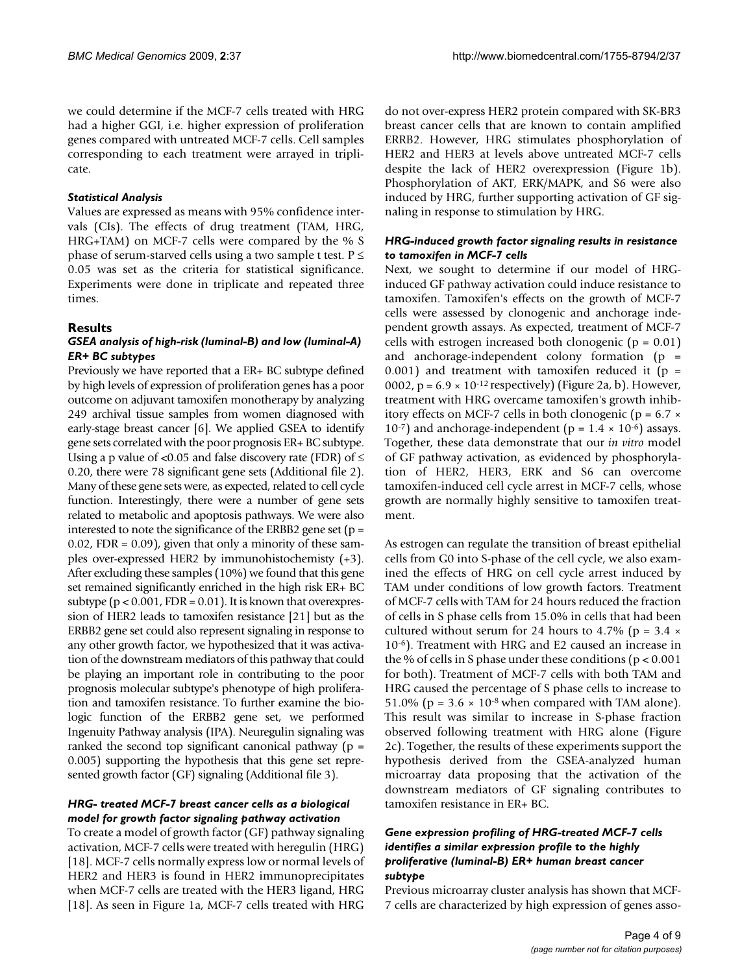we could determine if the MCF-7 cells treated with HRG had a higher GGI, i.e. higher expression of proliferation genes compared with untreated MCF-7 cells. Cell samples corresponding to each treatment were arrayed in triplicate.

#### *Statistical Analysis*

Values are expressed as means with 95% confidence intervals (CIs). The effects of drug treatment (TAM, HRG, HRG+TAM) on MCF-7 cells were compared by the % S phase of serum-starved cells using a two sample t test.  $P \leq$ 0.05 was set as the criteria for statistical significance. Experiments were done in triplicate and repeated three times.

#### **Results**

#### *GSEA analysis of high-risk (luminal-B) and low (luminal-A) ER+ BC subtypes*

Previously we have reported that a ER+ BC subtype defined by high levels of expression of proliferation genes has a poor outcome on adjuvant tamoxifen monotherapy by analyzing 249 archival tissue samples from women diagnosed with early-stage breast cancer [6]. We applied GSEA to identify gene sets correlated with the poor prognosis ER+ BC subtype. Using a p value of <0.05 and false discovery rate (FDR) of  $\leq$ 0.20, there were 78 significant gene sets (Additional file 2). Many of these gene sets were, as expected, related to cell cycle function. Interestingly, there were a number of gene sets related to metabolic and apoptosis pathways. We were also interested to note the significance of the ERBB2 gene set ( $p =$  $0.02$ , FDR =  $0.09$ ), given that only a minority of these samples over-expressed HER2 by immunohistochemisty (+3). After excluding these samples (10%) we found that this gene set remained significantly enriched in the high risk ER+ BC subtype ( $p < 0.001$ , FDR = 0.01). It is known that overexpression of HER2 leads to tamoxifen resistance [21] but as the ERBB2 gene set could also represent signaling in response to any other growth factor, we hypothesized that it was activation of the downstream mediators of this pathway that could be playing an important role in contributing to the poor prognosis molecular subtype's phenotype of high proliferation and tamoxifen resistance. To further examine the biologic function of the ERBB2 gene set, we performed Ingenuity Pathway analysis (IPA). Neuregulin signaling was ranked the second top significant canonical pathway ( $p =$ 0.005) supporting the hypothesis that this gene set represented growth factor (GF) signaling (Additional file 3).

#### *HRG- treated MCF-7 breast cancer cells as a biological model for growth factor signaling pathway activation*

To create a model of growth factor (GF) pathway signaling activation, MCF-7 cells were treated with heregulin (HRG) [18]. MCF-7 cells normally express low or normal levels of HER2 and HER3 is found in HER2 immunoprecipitates when MCF-7 cells are treated with the HER3 ligand, HRG [18]. As seen in Figure 1a, MCF-7 cells treated with HRG do not over-express HER2 protein compared with SK-BR3 breast cancer cells that are known to contain amplified ERRB2. However, HRG stimulates phosphorylation of HER2 and HER3 at levels above untreated MCF-7 cells despite the lack of HER2 overexpression (Figure 1b). Phosphorylation of AKT, ERK/MAPK, and S6 were also induced by HRG, further supporting activation of GF signaling in response to stimulation by HRG.

#### *HRG-induced growth factor signaling results in resistance to tamoxifen in MCF-7 cells*

Next, we sought to determine if our model of HRGinduced GF pathway activation could induce resistance to tamoxifen. Tamoxifen's effects on the growth of MCF-7 cells were assessed by clonogenic and anchorage independent growth assays. As expected, treatment of MCF-7 cells with estrogen increased both clonogenic ( $p = 0.01$ ) and anchorage-independent colony formation  $(p =$ 0.001) and treatment with tamoxifen reduced it ( $p =$ 0002,  $p = 6.9 \times 10^{-12}$  respectively) (Figure 2a, b). However, treatment with HRG overcame tamoxifen's growth inhibitory effects on MCF-7 cells in both clonogenic ( $p = 6.7 \times$  $10^{-7}$ ) and anchorage-independent (p =  $1.4 \times 10^{-6}$ ) assays. Together, these data demonstrate that our *in vitro* model of GF pathway activation, as evidenced by phosphorylation of HER2, HER3, ERK and S6 can overcome tamoxifen-induced cell cycle arrest in MCF-7 cells, whose growth are normally highly sensitive to tamoxifen treatment.

As estrogen can regulate the transition of breast epithelial cells from G0 into S-phase of the cell cycle, we also examined the effects of HRG on cell cycle arrest induced by TAM under conditions of low growth factors. Treatment of MCF-7 cells with TAM for 24 hours reduced the fraction of cells in S phase cells from 15.0% in cells that had been cultured without serum for 24 hours to 4.7% ( $p = 3.4 \times$ 10-6). Treatment with HRG and E2 caused an increase in the % of cells in S phase under these conditions ( $p < 0.001$ ) for both). Treatment of MCF-7 cells with both TAM and HRG caused the percentage of S phase cells to increase to 51.0% ( $p = 3.6 \times 10^{-8}$  when compared with TAM alone). This result was similar to increase in S-phase fraction observed following treatment with HRG alone (Figure 2c). Together, the results of these experiments support the hypothesis derived from the GSEA-analyzed human microarray data proposing that the activation of the downstream mediators of GF signaling contributes to tamoxifen resistance in ER+ BC.

#### *Gene expression profiling of HRG-treated MCF-7 cells identifies a similar expression profile to the highly proliferative (luminal-B) ER+ human breast cancer subtype*

Previous microarray cluster analysis has shown that MCF-7 cells are characterized by high expression of genes asso-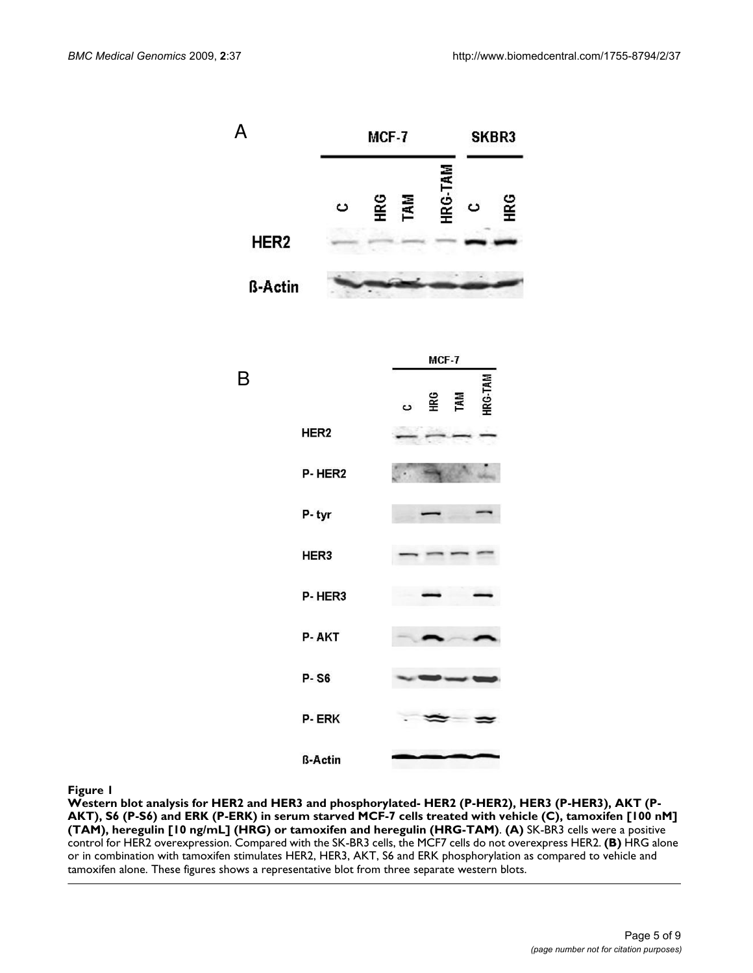

**Western blot analysis for HER2 and HER3 and phosphorylated- HER2 (P-HER2), HER3 (P-HER3), AKT (P-AKT), S6 (P-S6) and ERK (P-ERK) in serum starved MCF-7 cells treated with vehicle (C), tamoxifen [100 nM] (TAM), heregulin [10 ng/mL] (HRG) or tamoxifen and heregulin (HRG-TAM)**. **(A)** SK-BR3 cells were a positive control for HER2 overexpression. Compared with the SK-BR3 cells, the MCF7 cells do not overexpress HER2. **(B)** HRG alone or in combination with tamoxifen stimulates HER2, HER3, AKT, S6 and ERK phosphorylation as compared to vehicle and tamoxifen alone. These figures shows a representative blot from three separate western blots.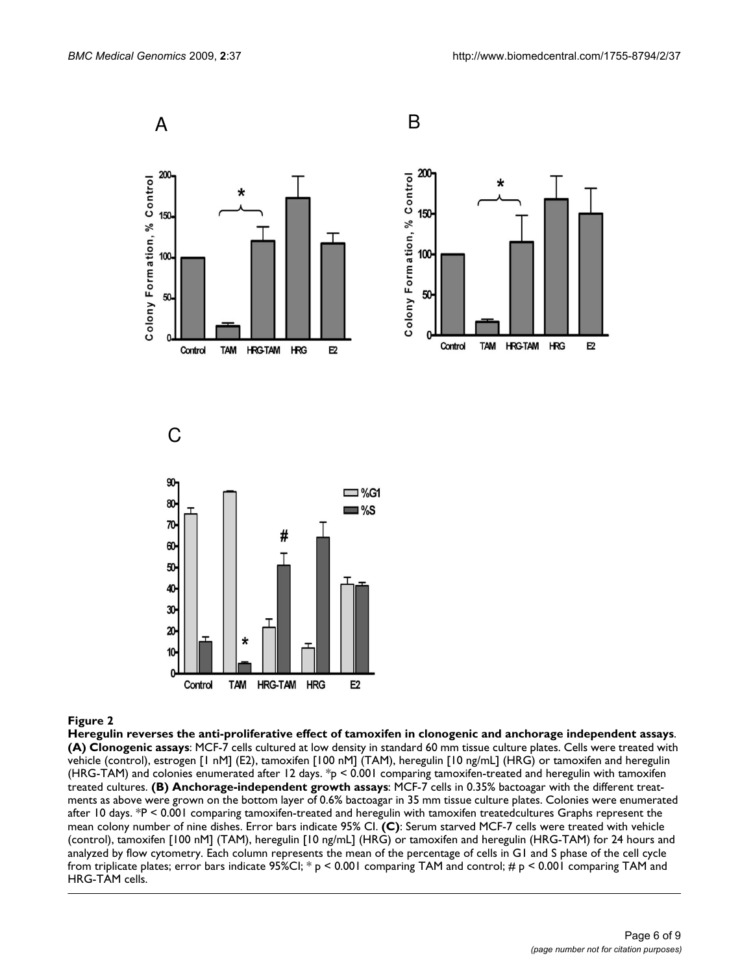

**Heregulin reverses the anti-proliferative effect of tamoxifen in clonogenic and anchorage independent assays**. **(A) Clonogenic assays**: MCF-7 cells cultured at low density in standard 60 mm tissue culture plates. Cells were treated with vehicle (control), estrogen [1 nM] (E2), tamoxifen [100 nM] (TAM), heregulin [10 ng/mL] (HRG) or tamoxifen and heregulin (HRG-TAM) and colonies enumerated after 12 days.  $*_p$  < 0.001 comparing tamoxifen-treated and heregulin with tamoxifen treated cultures. **(B) Anchorage-independent growth assays**: MCF-7 cells in 0.35% bactoagar with the different treatments as above were grown on the bottom layer of 0.6% bactoagar in 35 mm tissue culture plates. Colonies were enumerated after 10 days. \*P < 0.001 comparing tamoxifen-treated and heregulin with tamoxifen treatedcultures Graphs represent the mean colony number of nine dishes. Error bars indicate 95% CI. **(C)**: Serum starved MCF-7 cells were treated with vehicle (control), tamoxifen [100 nM] (TAM), heregulin [10 ng/mL] (HRG) or tamoxifen and heregulin (HRG-TAM) for 24 hours and analyzed by flow cytometry. Each column represents the mean of the percentage of cells in G1 and S phase of the cell cycle from triplicate plates; error bars indicate 95%CI;  $*$  p < 0.001 comparing TAM and control;  $\#$  p < 0.001 comparing TAM and HRG-TAM cells.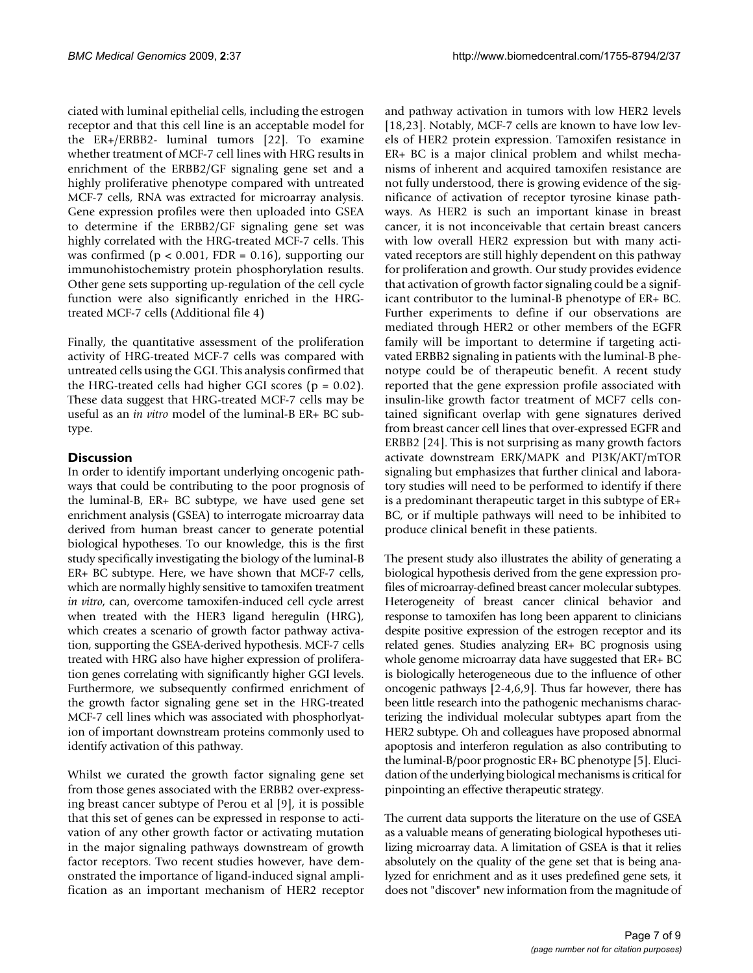ciated with luminal epithelial cells, including the estrogen receptor and that this cell line is an acceptable model for the ER+/ERBB2- luminal tumors [22]. To examine whether treatment of MCF-7 cell lines with HRG results in enrichment of the ERBB2/GF signaling gene set and a highly proliferative phenotype compared with untreated MCF-7 cells, RNA was extracted for microarray analysis. Gene expression profiles were then uploaded into GSEA to determine if the ERBB2/GF signaling gene set was highly correlated with the HRG-treated MCF-7 cells. This was confirmed ( $p < 0.001$ , FDR = 0.16), supporting our immunohistochemistry protein phosphorylation results. Other gene sets supporting up-regulation of the cell cycle function were also significantly enriched in the HRGtreated MCF-7 cells (Additional file 4)

Finally, the quantitative assessment of the proliferation activity of HRG-treated MCF-7 cells was compared with untreated cells using the GGI. This analysis confirmed that the HRG-treated cells had higher GGI scores ( $p = 0.02$ ). These data suggest that HRG-treated MCF-7 cells may be useful as an *in vitro* model of the luminal-B ER+ BC subtype.

### **Discussion**

In order to identify important underlying oncogenic pathways that could be contributing to the poor prognosis of the luminal-B, ER+ BC subtype, we have used gene set enrichment analysis (GSEA) to interrogate microarray data derived from human breast cancer to generate potential biological hypotheses. To our knowledge, this is the first study specifically investigating the biology of the luminal-B ER+ BC subtype. Here, we have shown that MCF-7 cells, which are normally highly sensitive to tamoxifen treatment *in vitro*, can, overcome tamoxifen-induced cell cycle arrest when treated with the HER3 ligand heregulin (HRG), which creates a scenario of growth factor pathway activation, supporting the GSEA-derived hypothesis. MCF-7 cells treated with HRG also have higher expression of proliferation genes correlating with significantly higher GGI levels. Furthermore, we subsequently confirmed enrichment of the growth factor signaling gene set in the HRG-treated MCF-7 cell lines which was associated with phosphorlyation of important downstream proteins commonly used to identify activation of this pathway.

Whilst we curated the growth factor signaling gene set from those genes associated with the ERBB2 over-expressing breast cancer subtype of Perou et al [9], it is possible that this set of genes can be expressed in response to activation of any other growth factor or activating mutation in the major signaling pathways downstream of growth factor receptors. Two recent studies however, have demonstrated the importance of ligand-induced signal amplification as an important mechanism of HER2 receptor and pathway activation in tumors with low HER2 levels [18,23]. Notably, MCF-7 cells are known to have low levels of HER2 protein expression. Tamoxifen resistance in ER+ BC is a major clinical problem and whilst mechanisms of inherent and acquired tamoxifen resistance are not fully understood, there is growing evidence of the significance of activation of receptor tyrosine kinase pathways. As HER2 is such an important kinase in breast cancer, it is not inconceivable that certain breast cancers with low overall HER2 expression but with many activated receptors are still highly dependent on this pathway for proliferation and growth. Our study provides evidence that activation of growth factor signaling could be a significant contributor to the luminal-B phenotype of ER+ BC. Further experiments to define if our observations are mediated through HER2 or other members of the EGFR family will be important to determine if targeting activated ERBB2 signaling in patients with the luminal-B phenotype could be of therapeutic benefit. A recent study reported that the gene expression profile associated with insulin-like growth factor treatment of MCF7 cells contained significant overlap with gene signatures derived from breast cancer cell lines that over-expressed EGFR and ERBB2 [24]. This is not surprising as many growth factors activate downstream ERK/MAPK and PI3K/AKT/mTOR signaling but emphasizes that further clinical and laboratory studies will need to be performed to identify if there is a predominant therapeutic target in this subtype of ER+ BC, or if multiple pathways will need to be inhibited to produce clinical benefit in these patients.

The present study also illustrates the ability of generating a biological hypothesis derived from the gene expression profiles of microarray-defined breast cancer molecular subtypes. Heterogeneity of breast cancer clinical behavior and response to tamoxifen has long been apparent to clinicians despite positive expression of the estrogen receptor and its related genes. Studies analyzing ER+ BC prognosis using whole genome microarray data have suggested that ER+ BC is biologically heterogeneous due to the influence of other oncogenic pathways [2-4,6,9]. Thus far however, there has been little research into the pathogenic mechanisms characterizing the individual molecular subtypes apart from the HER2 subtype. Oh and colleagues have proposed abnormal apoptosis and interferon regulation as also contributing to the luminal-B/poor prognostic ER+ BC phenotype [5]. Elucidation of the underlying biological mechanisms is critical for pinpointing an effective therapeutic strategy.

The current data supports the literature on the use of GSEA as a valuable means of generating biological hypotheses utilizing microarray data. A limitation of GSEA is that it relies absolutely on the quality of the gene set that is being analyzed for enrichment and as it uses predefined gene sets, it does not "discover" new information from the magnitude of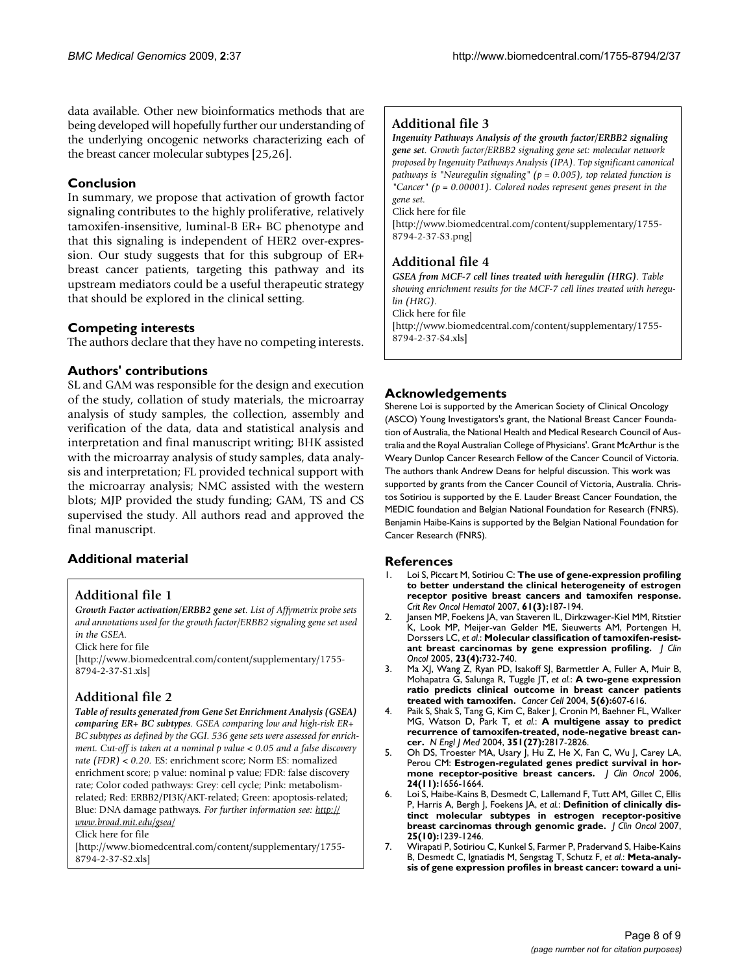data available. Other new bioinformatics methods that are being developed will hopefully further our understanding of the underlying oncogenic networks characterizing each of the breast cancer molecular subtypes [25,26].

#### **Conclusion**

In summary, we propose that activation of growth factor signaling contributes to the highly proliferative, relatively tamoxifen-insensitive, luminal-B ER+ BC phenotype and that this signaling is independent of HER2 over-expression. Our study suggests that for this subgroup of ER+ breast cancer patients, targeting this pathway and its upstream mediators could be a useful therapeutic strategy that should be explored in the clinical setting.

#### **Competing interests**

The authors declare that they have no competing interests.

#### **Authors' contributions**

SL and GAM was responsible for the design and execution of the study, collation of study materials, the microarray analysis of study samples, the collection, assembly and verification of the data, data and statistical analysis and interpretation and final manuscript writing; BHK assisted with the microarray analysis of study samples, data analysis and interpretation; FL provided technical support with the microarray analysis; NMC assisted with the western blots; MJP provided the study funding; GAM, TS and CS supervised the study. All authors read and approved the final manuscript.

### **Additional material**

#### **Additional file 1**

*Growth Factor activation/ERBB2 gene set. List of Affymetrix probe sets and annotations used for the growth factor/ERBB2 signaling gene set used in the GSEA.*

Click here for file

[\[http://www.biomedcentral.com/content/supplementary/1755-](http://www.biomedcentral.com/content/supplementary/1755-8794-2-37-S1.xls) 8794-2-37-S1.xls]

## **Additional file 2**

*Table of results generated from Gene Set Enrichment Analysis (GSEA) comparing ER+ BC subtypes. GSEA comparing low and high-risk ER+ BC subtypes as defined by the GGI. 536 gene sets were assessed for enrichment. Cut-off is taken at a nominal p value < 0.05 and a false discovery rate (FDR) < 0.20.* ES: enrichment score; Norm ES: nomalized enrichment score; p value: nominal p value; FDR: false discovery rate; Color coded pathways: Grey: cell cycle; Pink: metabolismrelated; Red: ERBB2/PI3K/AKT-related; Green: apoptosis-related; Blue: DNA damage pathways*. For further information see: [http://](http://www.broad.mit.edu/gsea/) [www.broad.mit.edu/gsea/](http://www.broad.mit.edu/gsea/)* Click here for file

[\[http://www.biomedcentral.com/content/supplementary/1755-](http://www.biomedcentral.com/content/supplementary/1755-8794-2-37-S2.xls) 8794-2-37-S2.xls]

### **Additional file 3**

*Ingenuity Pathways Analysis of the growth factor/ERBB2 signaling gene set. Growth factor/ERBB2 signaling gene set: molecular network proposed by Ingenuity Pathways Analysis (IPA). Top significant canonical pathways is "Neuregulin signaling" (p = 0.005), top related function is "Cancer" (p = 0.00001). Colored nodes represent genes present in the gene set.*

Click here for file

[\[http://www.biomedcentral.com/content/supplementary/1755-](http://www.biomedcentral.com/content/supplementary/1755-8794-2-37-S3.png) 8794-2-37-S3.png]

#### **Additional file 4**

*GSEA from MCF-7 cell lines treated with heregulin (HRG). Table showing enrichment results for the MCF-7 cell lines treated with heregulin (HRG).*

Click here for file

[\[http://www.biomedcentral.com/content/supplementary/1755-](http://www.biomedcentral.com/content/supplementary/1755-8794-2-37-S4.xls) 8794-2-37-S4.xls]

### **Acknowledgements**

Sherene Loi is supported by the American Society of Clinical Oncology (ASCO) Young Investigators's grant, the National Breast Cancer Foundation of Australia, the National Health and Medical Research Council of Australia and the Royal Australian College of Physicians'. Grant McArthur is the Weary Dunlop Cancer Research Fellow of the Cancer Council of Victoria. The authors thank Andrew Deans for helpful discussion. This work was supported by grants from the Cancer Council of Victoria, Australia. Christos Sotiriou is supported by the E. Lauder Breast Cancer Foundation, the MEDIC foundation and Belgian National Foundation for Research (FNRS). Benjamin Haibe-Kains is supported by the Belgian National Foundation for Cancer Research (FNRS).

#### **References**

- 1. Loi S, Piccart M, Sotiriou C: **[The use of gene-expression profiling](http://www.ncbi.nlm.nih.gov/entrez/query.fcgi?cmd=Retrieve&db=PubMed&dopt=Abstract&list_uids=17088071) [to better understand the clinical heterogeneity of estrogen](http://www.ncbi.nlm.nih.gov/entrez/query.fcgi?cmd=Retrieve&db=PubMed&dopt=Abstract&list_uids=17088071) receptor positive breast cancers and tamoxifen response.** *Crit Rev Oncol Hematol* 2007, **61(3):**187-194.
- 2. Jansen MP, Foekens JA, van Staveren IL, Dirkzwager-Kiel MM, Ritstier K, Look MP, Meijer-van Gelder ME, Sieuwerts AM, Portengen H, Dorssers LC, *et al.*: **[Molecular classification of tamoxifen-resist](http://www.ncbi.nlm.nih.gov/entrez/query.fcgi?cmd=Retrieve&db=PubMed&dopt=Abstract&list_uids=15681518)[ant breast carcinomas by gene expression profiling.](http://www.ncbi.nlm.nih.gov/entrez/query.fcgi?cmd=Retrieve&db=PubMed&dopt=Abstract&list_uids=15681518)** *J Clin Oncol* 2005, **23(4):**732-740.
- 3. Ma XJ, Wang Z, Ryan PD, Isakoff SJ, Barmettler A, Fuller A, Muir B, Mohapatra G, Salunga R, Tuggle JT, *et al.*: **[A two-gene expression](http://www.ncbi.nlm.nih.gov/entrez/query.fcgi?cmd=Retrieve&db=PubMed&dopt=Abstract&list_uids=15193263) [ratio predicts clinical outcome in breast cancer patients](http://www.ncbi.nlm.nih.gov/entrez/query.fcgi?cmd=Retrieve&db=PubMed&dopt=Abstract&list_uids=15193263) [treated with tamoxifen.](http://www.ncbi.nlm.nih.gov/entrez/query.fcgi?cmd=Retrieve&db=PubMed&dopt=Abstract&list_uids=15193263)** *Cancer Cell* 2004, **5(6):**607-616.
- 4. Paik S, Shak S, Tang G, Kim C, Baker J, Cronin M, Baehner FL, Walker MG, Watson D, Park T, *et al.*: **[A multigene assay to predict](http://www.ncbi.nlm.nih.gov/entrez/query.fcgi?cmd=Retrieve&db=PubMed&dopt=Abstract&list_uids=15591335) [recurrence of tamoxifen-treated, node-negative breast can](http://www.ncbi.nlm.nih.gov/entrez/query.fcgi?cmd=Retrieve&db=PubMed&dopt=Abstract&list_uids=15591335)[cer.](http://www.ncbi.nlm.nih.gov/entrez/query.fcgi?cmd=Retrieve&db=PubMed&dopt=Abstract&list_uids=15591335)** *N Engl J Med* 2004, **351(27):**2817-2826.
- 5. Oh DS, Troester MA, Usary J, Hu Z, He X, Fan C, Wu J, Carey LA, Perou CM: **[Estrogen-regulated genes predict survival in hor](http://www.ncbi.nlm.nih.gov/entrez/query.fcgi?cmd=Retrieve&db=PubMed&dopt=Abstract&list_uids=16505416)[mone receptor-positive breast cancers.](http://www.ncbi.nlm.nih.gov/entrez/query.fcgi?cmd=Retrieve&db=PubMed&dopt=Abstract&list_uids=16505416)** *J Clin Oncol* 2006, **24(11):**1656-1664.
- Loi S, Haibe-Kains B, Desmedt C, Lallemand F, Tutt AM, Gillet C, Ellis P, Harris A, Bergh J, Foekens JA, *et al.*: **[Definition of clinically dis](http://www.ncbi.nlm.nih.gov/entrez/query.fcgi?cmd=Retrieve&db=PubMed&dopt=Abstract&list_uids=17401012)[tinct molecular subtypes in estrogen receptor-positive](http://www.ncbi.nlm.nih.gov/entrez/query.fcgi?cmd=Retrieve&db=PubMed&dopt=Abstract&list_uids=17401012) [breast carcinomas through genomic grade.](http://www.ncbi.nlm.nih.gov/entrez/query.fcgi?cmd=Retrieve&db=PubMed&dopt=Abstract&list_uids=17401012)** *J Clin Oncol* 2007, **25(10):**1239-1246.
- 7. Wirapati P, Sotiriou C, Kunkel S, Farmer P, Pradervand S, Haibe-Kains B, Desmedt C, Ignatiadis M, Sengstag T, Schutz F, *et al.*: **[Meta-analy](http://www.ncbi.nlm.nih.gov/entrez/query.fcgi?cmd=Retrieve&db=PubMed&dopt=Abstract&list_uids=18662380)[sis of gene expression profiles in breast cancer: toward a uni](http://www.ncbi.nlm.nih.gov/entrez/query.fcgi?cmd=Retrieve&db=PubMed&dopt=Abstract&list_uids=18662380)-**